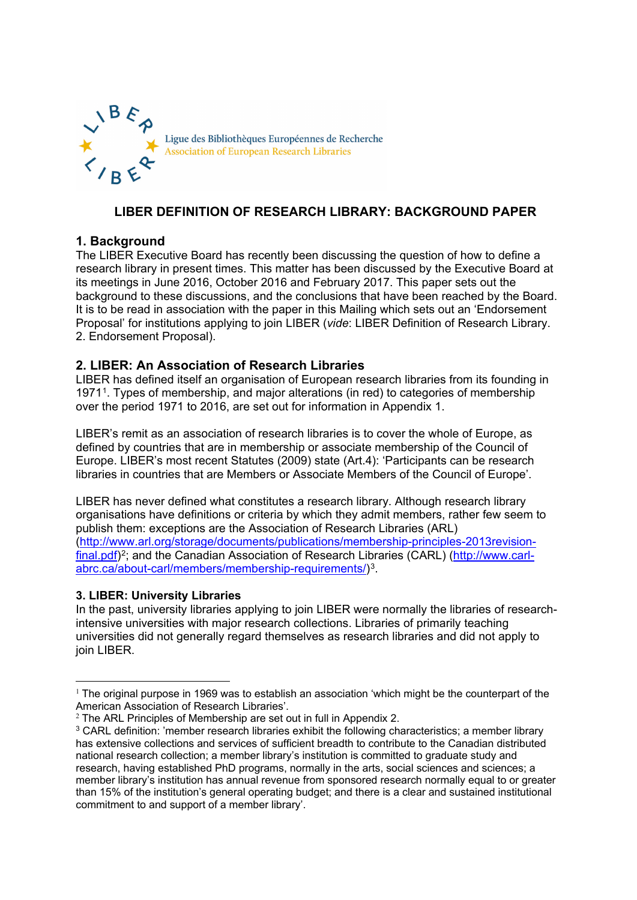

# **LIBER DEFINITION OF RESEARCH LIBRARY: BACKGROUND PAPER**

# **1. Background**

The LIBER Executive Board has recently been discussing the question of how to define a research library in present times. This matter has been discussed by the Executive Board at its meetings in June 2016, October 2016 and February 2017. This paper sets out the background to these discussions, and the conclusions that have been reached by the Board. It is to be read in association with the paper in this Mailing which sets out an 'Endorsement Proposal' for institutions applying to join LIBER (*vide*: LIBER Definition of Research Library. 2. Endorsement Proposal).

# **2. LIBER: An Association of Research Libraries**

LIBER has defined itself an organisation of European research libraries from its founding in 1971[1.](#page-0-0) Types of membership, and major alterations (in red) to categories of membership over the period 1971 to 2016, are set out for information in Appendix 1.

LIBER's remit as an association of research libraries is to cover the whole of Europe, as defined by countries that are in membership or associate membership of the Council of Europe. LIBER's most recent Statutes (2009) state (Art.4): 'Participants can be research libraries in countries that are Members or Associate Members of the Council of Europe'.

LIBER has never defined what constitutes a research library. Although research library organisations have definitions or criteria by which they admit members, rather few seem to publish them: exceptions are the Association of Research Libraries (ARL) [\(http://www.arl.org/storage/documents/publications/membership-principles-2013revision](http://www.arl.org/storage/documents/publications/membership-principles-2013revision-final.pdf)[final.pdf\)](http://www.arl.org/storage/documents/publications/membership-principles-2013revision-final.pdf)<sup>2</sup>; and the Canadian Association of Research Libraries (CARL) [\(http://www.carl](http://www.carl-abrc.ca/about-carl/members/membership-requirements/)[abrc.ca/about-carl/members/membership-requirements/\)](http://www.carl-abrc.ca/about-carl/members/membership-requirements/)[3](#page-0-2).

### **3. LIBER: University Libraries**

In the past, university libraries applying to join LIBER were normally the libraries of researchintensive universities with major research collections. Libraries of primarily teaching universities did not generally regard themselves as research libraries and did not apply to join LIBER.

<span id="page-0-0"></span> $<sup>1</sup>$  The original purpose in 1969 was to establish an association 'which might be the counterpart of the</sup> American Association of Research Libraries'.

<span id="page-0-1"></span> $2$  The ARL Principles of Membership are set out in full in Appendix 2.

<span id="page-0-2"></span><sup>&</sup>lt;sup>3</sup> CARL definition: 'member research libraries exhibit the following characteristics; a member library has extensive collections and services of sufficient breadth to contribute to the Canadian distributed national research collection; a member library's institution is committed to graduate study and research, having established PhD programs, normally in the arts, social sciences and sciences; a member library's institution has annual revenue from sponsored research normally equal to or greater than 15% of the institution's general operating budget; and there is a clear and sustained institutional commitment to and support of a member library'.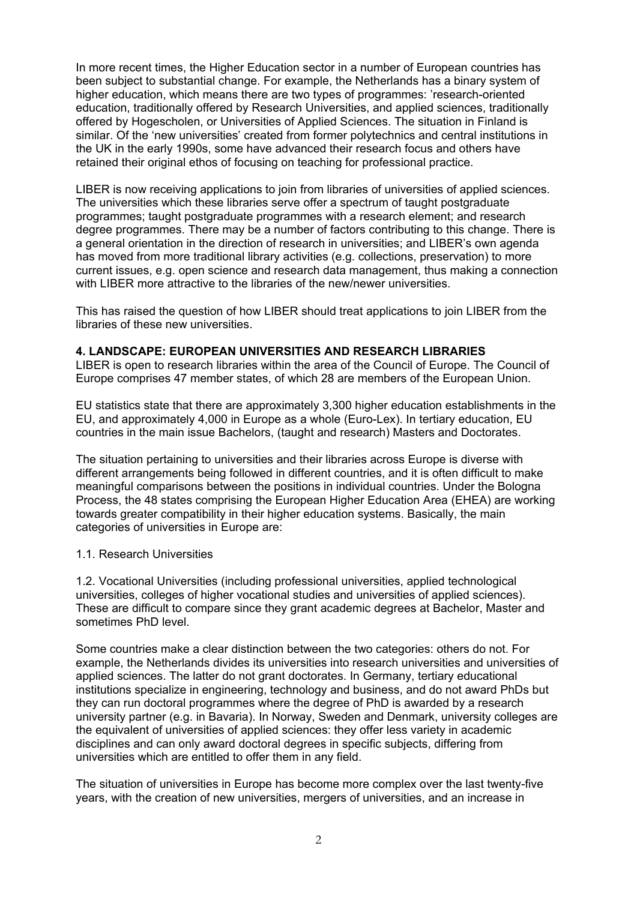In more recent times, the Higher Education sector in a number of European countries has been subject to substantial change. For example, the Netherlands has a binary system of higher education, which means there are two types of programmes: 'research-oriented education, traditionally offered by Research Universities, and applied sciences, traditionally offered by Hogescholen, or Universities of Applied Sciences. The situation in Finland is similar. Of the 'new universities' created from former polytechnics and central institutions in the UK in the early 1990s, some have advanced their research focus and others have retained their original ethos of focusing on teaching for professional practice.

LIBER is now receiving applications to join from libraries of universities of applied sciences. The universities which these libraries serve offer a spectrum of taught postgraduate programmes; taught postgraduate programmes with a research element; and research degree programmes. There may be a number of factors contributing to this change. There is a general orientation in the direction of research in universities; and LIBER's own agenda has moved from more traditional library activities (e.g. collections, preservation) to more current issues, e.g. open science and research data management, thus making a connection with LIBER more attractive to the libraries of the new/newer universities.

This has raised the question of how LIBER should treat applications to join LIBER from the libraries of these new universities.

### **4. LANDSCAPE: EUROPEAN UNIVERSITIES AND RESEARCH LIBRARIES**

LIBER is open to research libraries within the area of the Council of Europe. The Council of Europe comprises 47 member states, of which 28 are members of the European Union.

EU statistics state that there are approximately 3,300 higher education establishments in the EU, and approximately 4,000 in Europe as a whole (Euro-Lex). In tertiary education, EU countries in the main issue Bachelors, (taught and research) Masters and Doctorates.

The situation pertaining to universities and their libraries across Europe is diverse with different arrangements being followed in different countries, and it is often difficult to make meaningful comparisons between the positions in individual countries. Under the Bologna Process, the 48 states comprising the European Higher Education Area (EHEA) are working towards greater compatibility in their higher education systems. Basically, the main categories of universities in Europe are:

### 1.1. Research Universities

1.2. Vocational Universities (including professional universities, applied technological universities, colleges of higher vocational studies and universities of applied sciences). These are difficult to compare since they grant academic degrees at Bachelor, Master and sometimes PhD level.

Some countries make a clear distinction between the two categories: others do not. For example, the Netherlands divides its universities into research universities and universities of applied sciences. The latter do not grant doctorates. In Germany, tertiary educational institutions specialize in engineering, technology and business, and do not award PhDs but they can run doctoral programmes where the degree of PhD is awarded by a research university partner (e.g. in Bavaria). In Norway, Sweden and Denmark, university colleges are the equivalent of universities of applied sciences: they offer less variety in academic disciplines and can only award doctoral degrees in specific subjects, differing from universities which are entitled to offer them in any field.

The situation of universities in Europe has become more complex over the last twenty-five years, with the creation of new universities, mergers of universities, and an increase in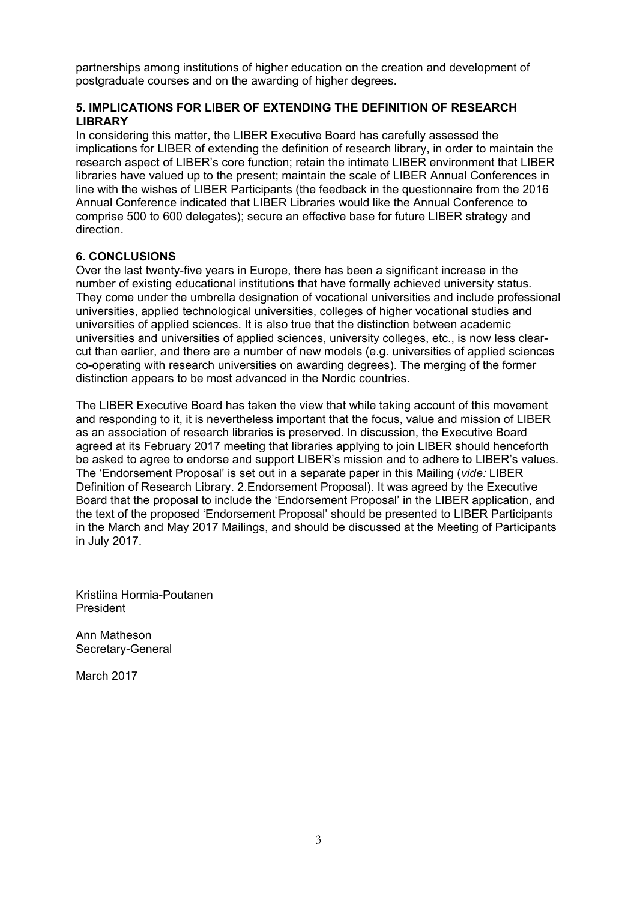partnerships among institutions of higher education on the creation and development of postgraduate courses and on the awarding of higher degrees.

## **5. IMPLICATIONS FOR LIBER OF EXTENDING THE DEFINITION OF RESEARCH LIBRARY**

In considering this matter, the LIBER Executive Board has carefully assessed the implications for LIBER of extending the definition of research library, in order to maintain the research aspect of LIBER's core function; retain the intimate LIBER environment that LIBER libraries have valued up to the present; maintain the scale of LIBER Annual Conferences in line with the wishes of LIBER Participants (the feedback in the questionnaire from the 2016 Annual Conference indicated that LIBER Libraries would like the Annual Conference to comprise 500 to 600 delegates); secure an effective base for future LIBER strategy and direction.

### **6. CONCLUSIONS**

Over the last twenty-five years in Europe, there has been a significant increase in the number of existing educational institutions that have formally achieved university status. They come under the umbrella designation of vocational universities and include professional universities, applied technological universities, colleges of higher vocational studies and universities of applied sciences. It is also true that the distinction between academic universities and universities of applied sciences, university colleges, etc., is now less clearcut than earlier, and there are a number of new models (e.g. universities of applied sciences co-operating with research universities on awarding degrees). The merging of the former distinction appears to be most advanced in the Nordic countries.

The LIBER Executive Board has taken the view that while taking account of this movement and responding to it, it is nevertheless important that the focus, value and mission of LIBER as an association of research libraries is preserved. In discussion, the Executive Board agreed at its February 2017 meeting that libraries applying to join LIBER should henceforth be asked to agree to endorse and support LIBER's mission and to adhere to LIBER's values. The 'Endorsement Proposal' is set out in a separate paper in this Mailing (*vide:* LIBER Definition of Research Library. 2.Endorsement Proposal). It was agreed by the Executive Board that the proposal to include the 'Endorsement Proposal' in the LIBER application, and the text of the proposed 'Endorsement Proposal' should be presented to LIBER Participants in the March and May 2017 Mailings, and should be discussed at the Meeting of Participants in July 2017.

Kristiina Hormia-Poutanen President

Ann Matheson Secretary-General

March 2017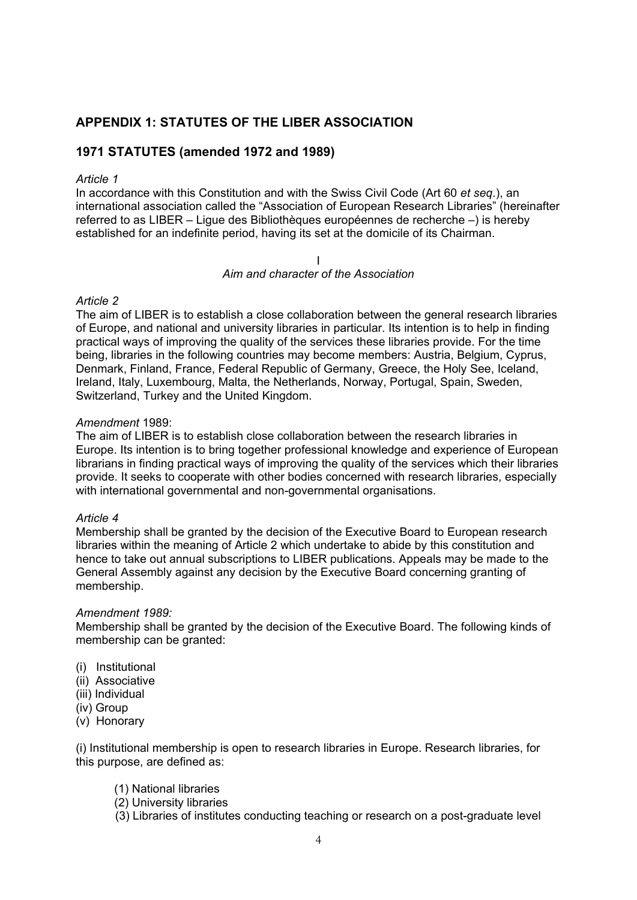# **APPENDIX 1: STATUTES OF THE LIBER ASSOCIATION**

# **1971 STATUTES (amended 1972 and 1989)**

#### *Article 1*

In accordance with this Constitution and with the Swiss Civil Code (Art 60 *et seq*.), an international association called the "Association of European Research Libraries" (hereinafter referred to as LIBER – Ligue des Bibliothèques européennes de recherche –) is hereby established for an indefinite period, having its set at the domicile of its Chairman.

I

#### *Aim and character of the Association*

#### *Article 2*

The aim of LIBER is to establish a close collaboration between the general research libraries of Europe, and national and university libraries in particular. Its intention is to help in finding practical ways of improving the quality of the services these libraries provide. For the time being, libraries in the following countries may become members: Austria, Belgium, Cyprus, Denmark, Finland, France, Federal Republic of Germany, Greece, the Holy See, Iceland, Ireland, Italy, Luxembourg, Malta, the Netherlands, Norway, Portugal, Spain, Sweden, Switzerland, Turkey and the United Kingdom.

#### *Amendment* 1989:

The aim of LIBER is to establish close collaboration between the research libraries in Europe. Its intention is to bring together professional knowledge and experience of European librarians in finding practical ways of improving the quality of the services which their libraries provide. It seeks to cooperate with other bodies concerned with research libraries, especially with international governmental and non-governmental organisations.

#### *Article 4*

Membership shall be granted by the decision of the Executive Board to European research libraries within the meaning of Article 2 which undertake to abide by this constitution and hence to take out annual subscriptions to LIBER publications. Appeals may be made to the General Assembly against any decision by the Executive Board concerning granting of membership.

#### *Amendment 1989:*

Membership shall be granted by the decision of the Executive Board. The following kinds of membership can be granted:

- (i) Institutional
- (ii) Associative
- (iii) Individual
- (iv) Group
- (v) Honorary

(i) Institutional membership is open to research libraries in Europe. Research libraries, for this purpose, are defined as:

- (1) National libraries
- (2) University libraries
- (3) Libraries of institutes conducting teaching or research on a post-graduate level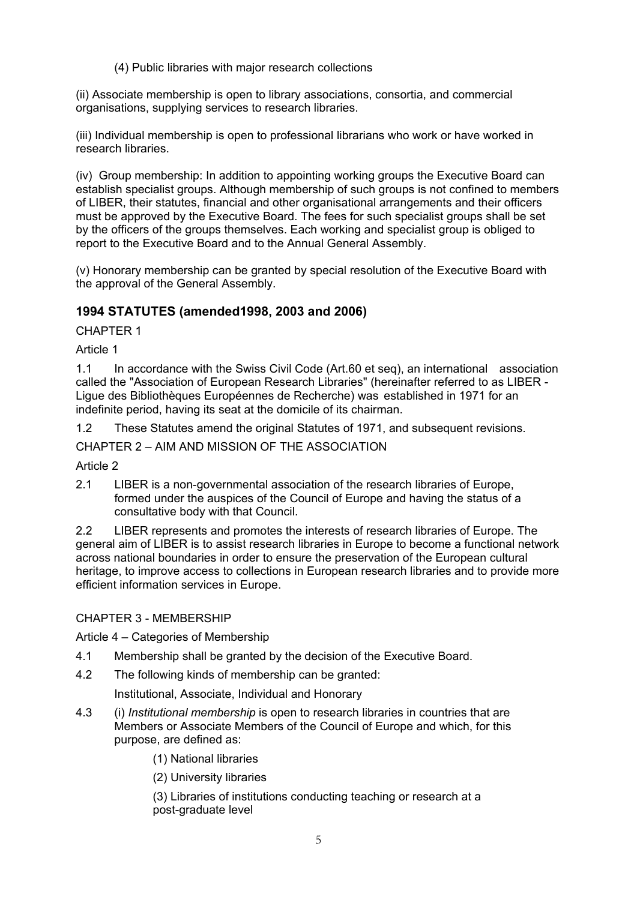(4) Public libraries with major research collections

(ii) Associate membership is open to library associations, consortia, and commercial organisations, supplying services to research libraries.

(iii) Individual membership is open to professional librarians who work or have worked in research libraries.

(iv) Group membership: In addition to appointing working groups the Executive Board can establish specialist groups. Although membership of such groups is not confined to members of LIBER, their statutes, financial and other organisational arrangements and their officers must be approved by the Executive Board. The fees for such specialist groups shall be set by the officers of the groups themselves. Each working and specialist group is obliged to report to the Executive Board and to the Annual General Assembly.

(v) Honorary membership can be granted by special resolution of the Executive Board with the approval of the General Assembly.

# **1994 STATUTES (amended1998, 2003 and 2006)**

CHAPTER 1

Article 1

1.1 In accordance with the Swiss Civil Code (Art.60 et seq), an international association called the "Association of European Research Libraries" (hereinafter referred to as LIBER - Ligue des Bibliothèques Européennes de Recherche) was established in 1971 for an indefinite period, having its seat at the domicile of its chairman.

1.2 These Statutes amend the original Statutes of 1971, and subsequent revisions.

CHAPTER 2 – AIM AND MISSION OF THE ASSOCIATION

Article 2

2.1 LIBER is a non-governmental association of the research libraries of Europe, formed under the auspices of the Council of Europe and having the status of a consultative body with that Council.

2.2 LIBER represents and promotes the interests of research libraries of Europe. The general aim of LIBER is to assist research libraries in Europe to become a functional network across national boundaries in order to ensure the preservation of the European cultural heritage, to improve access to collections in European research libraries and to provide more efficient information services in Europe.

CHAPTER 3 - MEMBERSHIP

Article 4 – Categories of Membership

- 4.1 Membership shall be granted by the decision of the Executive Board.
- 4.2 The following kinds of membership can be granted:

Institutional, Associate, Individual and Honorary

- 4.3 (i) *Institutional membership* is open to research libraries in countries that are Members or Associate Members of the Council of Europe and which, for this purpose, are defined as:
	- (1) National libraries

(2) University libraries

(3) Libraries of institutions conducting teaching or research at a post-graduate level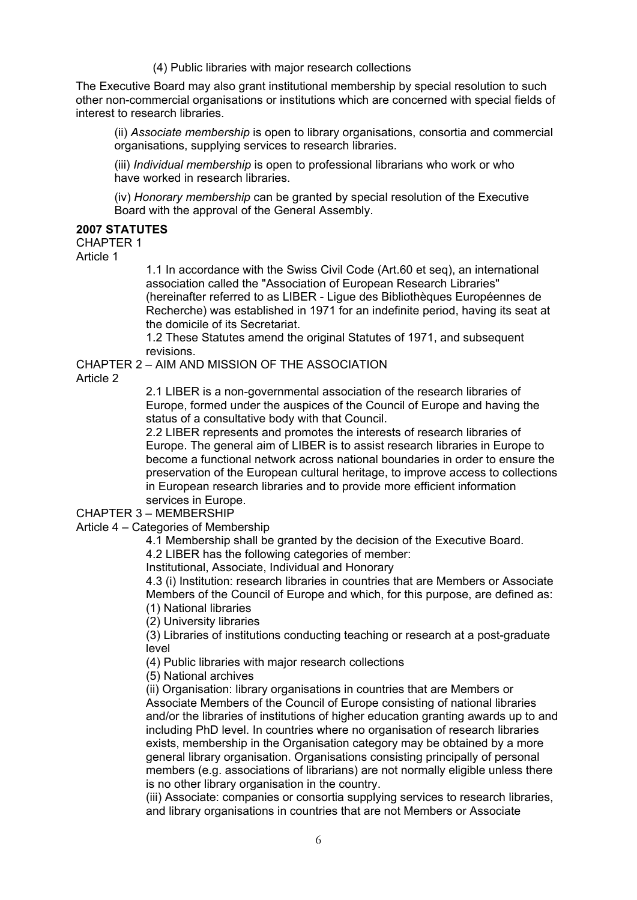(4) Public libraries with major research collections

The Executive Board may also grant institutional membership by special resolution to such other non-commercial organisations or institutions which are concerned with special fields of interest to research libraries.

(ii) *Associate membership* is open to library organisations, consortia and commercial organisations, supplying services to research libraries.

(iii) *Individual membership* is open to professional librarians who work or who have worked in research libraries.

(iv) *Honorary membership* can be granted by special resolution of the Executive Board with the approval of the General Assembly.

### **2007 STATUTES**

## CHAPTER 1

Article 1

1.1 In accordance with the Swiss Civil Code (Art.60 et seq), an international association called the "Association of European Research Libraries" (hereinafter referred to as LIBER - Ligue des Bibliothèques Européennes de Recherche) was established in 1971 for an indefinite period, having its seat at the domicile of its Secretariat.

1.2 These Statutes amend the original Statutes of 1971, and subsequent revisions.

CHAPTER 2 – AIM AND MISSION OF THE ASSOCIATION

Article 2

2.1 LIBER is a non-governmental association of the research libraries of Europe, formed under the auspices of the Council of Europe and having the status of a consultative body with that Council.

2.2 LIBER represents and promotes the interests of research libraries of Europe. The general aim of LIBER is to assist research libraries in Europe to become a functional network across national boundaries in order to ensure the preservation of the European cultural heritage, to improve access to collections in European research libraries and to provide more efficient information services in Europe.

CHAPTER 3 – MEMBERSHIP

Article 4 – Categories of Membership

4.1 Membership shall be granted by the decision of the Executive Board.

4.2 LIBER has the following categories of member:

Institutional, Associate, Individual and Honorary

4.3 (i) Institution: research libraries in countries that are Members or Associate Members of the Council of Europe and which, for this purpose, are defined as: (1) National libraries

(2) University libraries

(3) Libraries of institutions conducting teaching or research at a post-graduate level

(4) Public libraries with major research collections

(5) National archives

(ii) Organisation: library organisations in countries that are Members or Associate Members of the Council of Europe consisting of national libraries and/or the libraries of institutions of higher education granting awards up to and including PhD level. In countries where no organisation of research libraries exists, membership in the Organisation category may be obtained by a more general library organisation. Organisations consisting principally of personal members (e.g. associations of librarians) are not normally eligible unless there is no other library organisation in the country.

(iii) Associate: companies or consortia supplying services to research libraries, and library organisations in countries that are not Members or Associate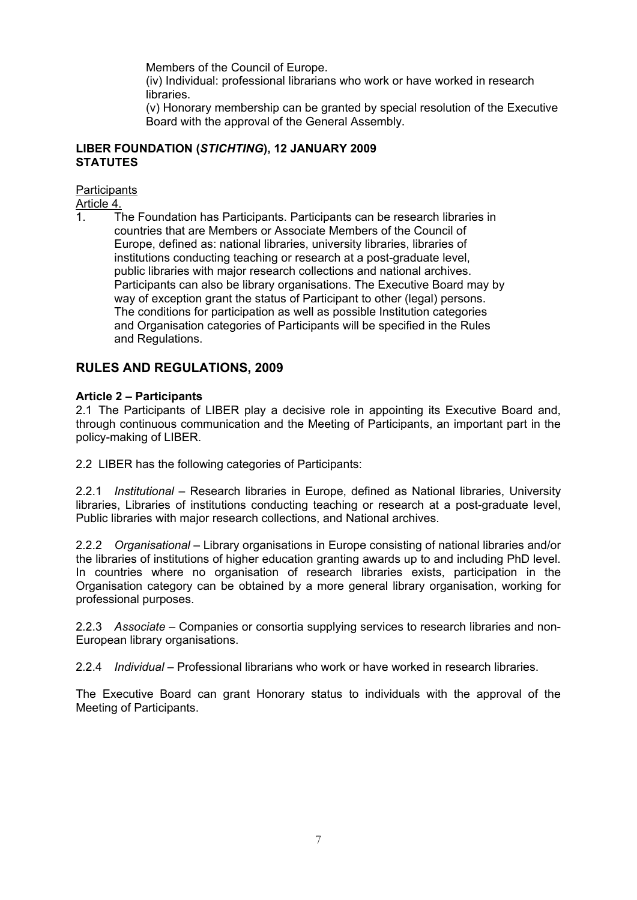Members of the Council of Europe.

(iv) Individual: professional librarians who work or have worked in research libraries.

(v) Honorary membership can be granted by special resolution of the Executive Board with the approval of the General Assembly.

### **LIBER FOUNDATION (***STICHTING***), 12 JANUARY 2009 STATUTES**

**Participants** 

Article 4.

1. The Foundation has Participants. Participants can be research libraries in countries that are Members or Associate Members of the Council of Europe, defined as: national libraries, university libraries, libraries of institutions conducting teaching or research at a post-graduate level, public libraries with major research collections and national archives. Participants can also be library organisations. The Executive Board may by way of exception grant the status of Participant to other (legal) persons. The conditions for participation as well as possible Institution categories and Organisation categories of Participants will be specified in the Rules and Regulations.

# **RULES AND REGULATIONS, 2009**

### **Article 2 – Participants**

2.1 The Participants of LIBER play a decisive role in appointing its Executive Board and, through continuous communication and the Meeting of Participants, an important part in the policy-making of LIBER.

2.2 LIBER has the following categories of Participants:

2.2.1 *Institutional* – Research libraries in Europe, defined as National libraries, University libraries, Libraries of institutions conducting teaching or research at a post-graduate level, Public libraries with major research collections, and National archives.

2.2.2 *Organisational* – Library organisations in Europe consisting of national libraries and/or the libraries of institutions of higher education granting awards up to and including PhD level. In countries where no organisation of research libraries exists, participation in the Organisation category can be obtained by a more general library organisation, working for professional purposes.

2.2.3 *Associate* – Companies or consortia supplying services to research libraries and non-European library organisations.

2.2.4 *Individual* – Professional librarians who work or have worked in research libraries.

The Executive Board can grant Honorary status to individuals with the approval of the Meeting of Participants.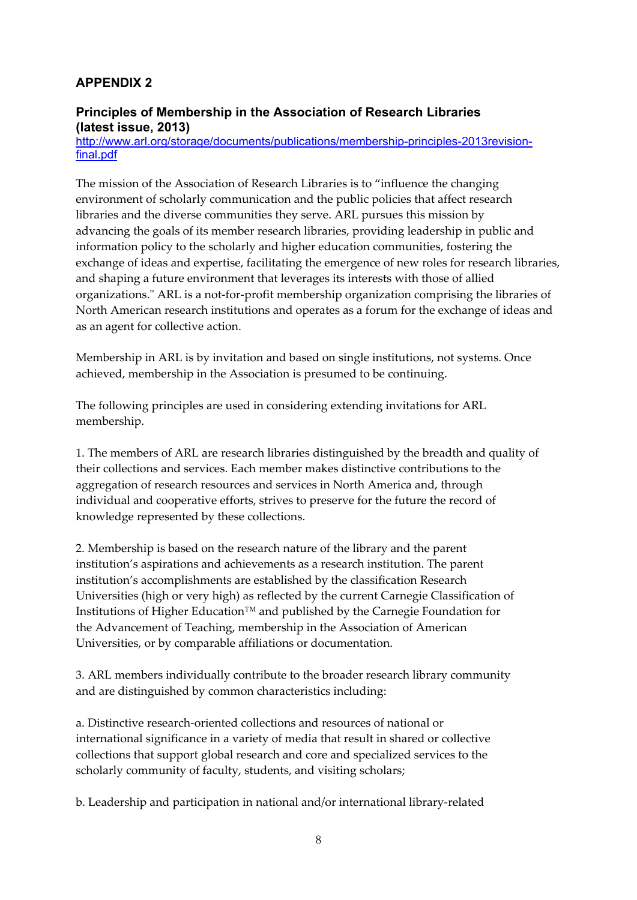# **APPENDIX 2**

# **Principles of Membership in the Association of Research Libraries (latest issue, 2013)**

[http://www.arl.org/storage/documents/publications/membership-principles-2013revision](http://www.arl.org/storage/documents/publications/membership-principles-2013revision-final.pdf)[final.pdf](http://www.arl.org/storage/documents/publications/membership-principles-2013revision-final.pdf)

The mission of the Association of Research Libraries is to "influence the changing environment of scholarly communication and the public policies that affect research libraries and the diverse communities they serve. ARL pursues this mission by advancing the goals of its member research libraries, providing leadership in public and information policy to the scholarly and higher education communities, fostering the exchange of ideas and expertise, facilitating the emergence of new roles for research libraries, and shaping a future environment that leverages its interests with those of allied organizations." ARL is a not-for-profit membership organization comprising the libraries of North American research institutions and operates as a forum for the exchange of ideas and as an agent for collective action.

Membership in ARL is by invitation and based on single institutions, not systems. Once achieved, membership in the Association is presumed to be continuing.

The following principles are used in considering extending invitations for ARL membership.

1. The members of ARL are research libraries distinguished by the breadth and quality of their collections and services. Each member makes distinctive contributions to the aggregation of research resources and services in North America and, through individual and cooperative efforts, strives to preserve for the future the record of knowledge represented by these collections.

2. Membership is based on the research nature of the library and the parent institution's aspirations and achievements as a research institution. The parent institution's accomplishments are established by the classification Research Universities (high or very high) as reflected by the current Carnegie Classification of Institutions of Higher Education™ and published by the Carnegie Foundation for the Advancement of Teaching, membership in the Association of American Universities, or by comparable affiliations or documentation.

3. ARL members individually contribute to the broader research library community and are distinguished by common characteristics including:

a. Distinctive research-oriented collections and resources of national or international significance in a variety of media that result in shared or collective collections that support global research and core and specialized services to the scholarly community of faculty, students, and visiting scholars;

b. Leadership and participation in national and/or international library-related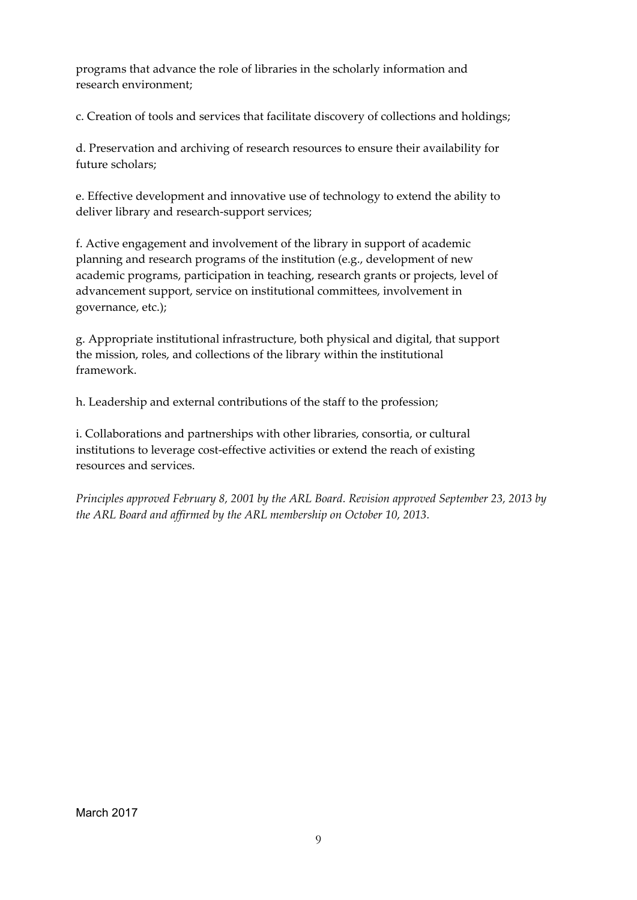programs that advance the role of libraries in the scholarly information and research environment;

c. Creation of tools and services that facilitate discovery of collections and holdings;

d. Preservation and archiving of research resources to ensure their availability for future scholars;

e. Effective development and innovative use of technology to extend the ability to deliver library and research-support services;

f. Active engagement and involvement of the library in support of academic planning and research programs of the institution (e.g., development of new academic programs, participation in teaching, research grants or projects, level of advancement support, service on institutional committees, involvement in governance, etc.);

g. Appropriate institutional infrastructure, both physical and digital, that support the mission, roles, and collections of the library within the institutional framework.

h. Leadership and external contributions of the staff to the profession;

i. Collaborations and partnerships with other libraries, consortia, or cultural institutions to leverage cost-effective activities or extend the reach of existing resources and services.

*Principles approved February 8, 2001 by the ARL Board. Revision approved September 23, 2013 by the ARL Board and affirmed by the ARL membership on October 10, 2013.*